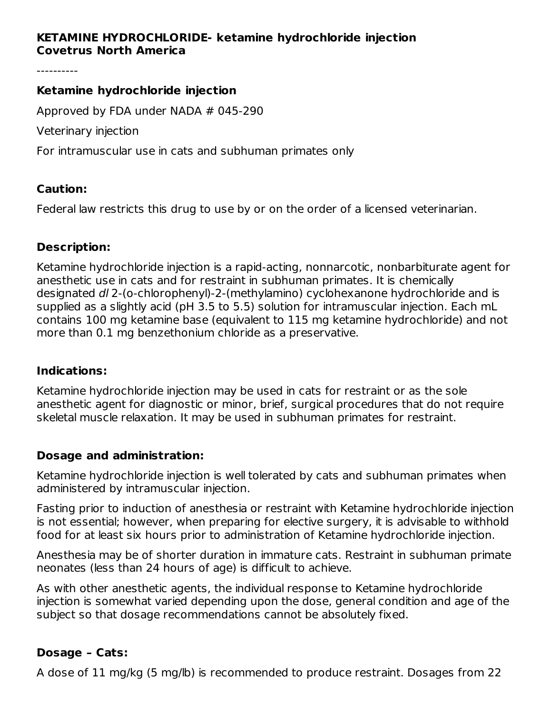# **KETAMINE HYDROCHLORIDE- ketamine hydrochloride injection Covetrus North America**

----------

#### **Ketamine hydrochloride injection**

Approved by FDA under NADA # 045-290

Veterinary injection

For intramuscular use in cats and subhuman primates only

#### **Caution:**

Federal law restricts this drug to use by or on the order of a licensed veterinarian.

#### **Description:**

Ketamine hydrochloride injection is a rapid-acting, nonnarcotic, nonbarbiturate agent for anesthetic use in cats and for restraint in subhuman primates. It is chemically designated dl 2-(o-chlorophenyl)-2-(methylamino) cyclohexanone hydrochloride and is supplied as a slightly acid (pH 3.5 to 5.5) solution for intramuscular injection. Each mL contains 100 mg ketamine base (equivalent to 115 mg ketamine hydrochloride) and not more than 0.1 mg benzethonium chloride as a preservative.

#### **Indications:**

Ketamine hydrochloride injection may be used in cats for restraint or as the sole anesthetic agent for diagnostic or minor, brief, surgical procedures that do not require skeletal muscle relaxation. It may be used in subhuman primates for restraint.

## **Dosage and administration:**

Ketamine hydrochloride injection is well tolerated by cats and subhuman primates when administered by intramuscular injection.

Fasting prior to induction of anesthesia or restraint with Ketamine hydrochloride injection is not essential; however, when preparing for elective surgery, it is advisable to withhold food for at least six hours prior to administration of Ketamine hydrochloride injection.

Anesthesia may be of shorter duration in immature cats. Restraint in subhuman primate neonates (less than 24 hours of age) is difficult to achieve.

As with other anesthetic agents, the individual response to Ketamine hydrochloride injection is somewhat varied depending upon the dose, general condition and age of the subject so that dosage recommendations cannot be absolutely fixed.

## **Dosage – Cats:**

A dose of 11 mg/kg (5 mg/lb) is recommended to produce restraint. Dosages from 22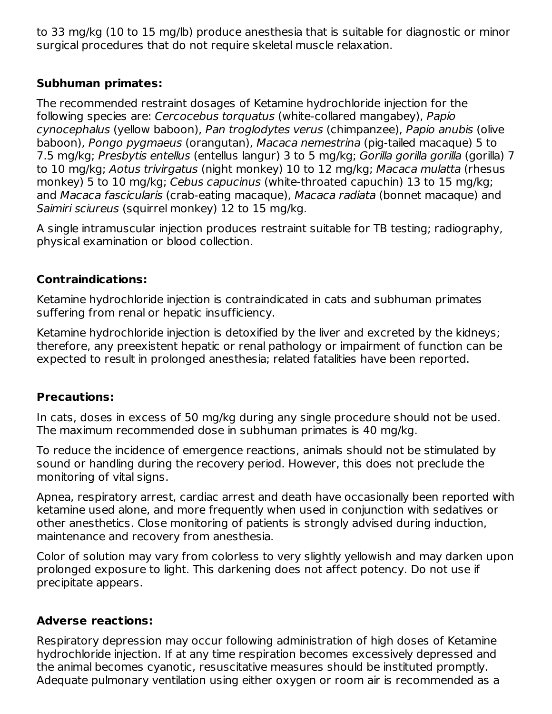to 33 mg/kg (10 to 15 mg/lb) produce anesthesia that is suitable for diagnostic or minor surgical procedures that do not require skeletal muscle relaxation.

# **Subhuman primates:**

The recommended restraint dosages of Ketamine hydrochloride injection for the following species are: Cercocebus torquatus (white-collared mangabey), Papio cynocephalus (yellow baboon), Pan troglodytes verus (chimpanzee), Papio anubis (olive baboon), Pongo pygmaeus (orangutan), Macaca nemestrina (pig-tailed macaque) 5 to 7.5 mg/kg; Presbytis entellus (entellus langur) 3 to 5 mg/kg; Gorilla gorilla gorilla (gorilla) 7 to 10 mg/kg; Aotus trivirgatus (night monkey) 10 to 12 mg/kg; Macaca mulatta (rhesus monkey) 5 to 10 mg/kg; Cebus capucinus (white-throated capuchin) 13 to 15 mg/kg; and Macaca fascicularis (crab-eating macaque), Macaca radiata (bonnet macaque) and Saimiri sciureus (squirrel monkey) 12 to 15 mg/kg.

A single intramuscular injection produces restraint suitable for TB testing; radiography, physical examination or blood collection.

## **Contraindications:**

Ketamine hydrochloride injection is contraindicated in cats and subhuman primates suffering from renal or hepatic insufficiency.

Ketamine hydrochloride injection is detoxified by the liver and excreted by the kidneys; therefore, any preexistent hepatic or renal pathology or impairment of function can be expected to result in prolonged anesthesia; related fatalities have been reported.

## **Precautions:**

In cats, doses in excess of 50 mg/kg during any single procedure should not be used. The maximum recommended dose in subhuman primates is 40 mg/kg.

To reduce the incidence of emergence reactions, animals should not be stimulated by sound or handling during the recovery period. However, this does not preclude the monitoring of vital signs.

Apnea, respiratory arrest, cardiac arrest and death have occasionally been reported with ketamine used alone, and more frequently when used in conjunction with sedatives or other anesthetics. Close monitoring of patients is strongly advised during induction, maintenance and recovery from anesthesia.

Color of solution may vary from colorless to very slightly yellowish and may darken upon prolonged exposure to light. This darkening does not affect potency. Do not use if precipitate appears.

# **Adverse reactions:**

Respiratory depression may occur following administration of high doses of Ketamine hydrochloride injection. If at any time respiration becomes excessively depressed and the animal becomes cyanotic, resuscitative measures should be instituted promptly. Adequate pulmonary ventilation using either oxygen or room air is recommended as a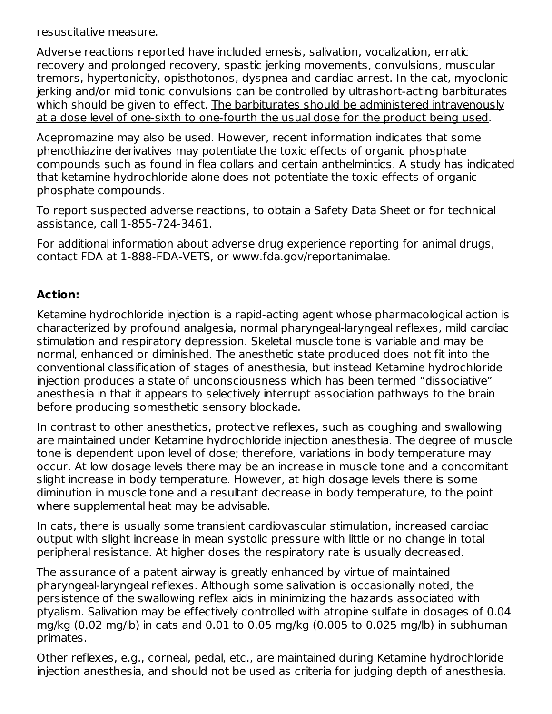resuscitative measure.

Adverse reactions reported have included emesis, salivation, vocalization, erratic recovery and prolonged recovery, spastic jerking movements, convulsions, muscular tremors, hypertonicity, opisthotonos, dyspnea and cardiac arrest. In the cat, myoclonic jerking and/or mild tonic convulsions can be controlled by ultrashort-acting barbiturates which should be given to effect. The barbiturates should be administered intravenously at a dose level of one-sixth to one-fourth the usual dose for the product being used.

Acepromazine may also be used. However, recent information indicates that some phenothiazine derivatives may potentiate the toxic effects of organic phosphate compounds such as found in flea collars and certain anthelmintics. A study has indicated that ketamine hydrochloride alone does not potentiate the toxic effects of organic phosphate compounds.

To report suspected adverse reactions, to obtain a Safety Data Sheet or for technical assistance, call 1-855-724-3461.

For additional information about adverse drug experience reporting for animal drugs, contact FDA at 1-888-FDA-VETS, or www.fda.gov/reportanimalae.

## **Action:**

Ketamine hydrochloride injection is a rapid-acting agent whose pharmacological action is characterized by profound analgesia, normal pharyngeal-laryngeal reflexes, mild cardiac stimulation and respiratory depression. Skeletal muscle tone is variable and may be normal, enhanced or diminished. The anesthetic state produced does not fit into the conventional classification of stages of anesthesia, but instead Ketamine hydrochloride injection produces a state of unconsciousness which has been termed "dissociative" anesthesia in that it appears to selectively interrupt association pathways to the brain before producing somesthetic sensory blockade.

In contrast to other anesthetics, protective reflexes, such as coughing and swallowing are maintained under Ketamine hydrochloride injection anesthesia. The degree of muscle tone is dependent upon level of dose; therefore, variations in body temperature may occur. At low dosage levels there may be an increase in muscle tone and a concomitant slight increase in body temperature. However, at high dosage levels there is some diminution in muscle tone and a resultant decrease in body temperature, to the point where supplemental heat may be advisable.

In cats, there is usually some transient cardiovascular stimulation, increased cardiac output with slight increase in mean systolic pressure with little or no change in total peripheral resistance. At higher doses the respiratory rate is usually decreased.

The assurance of a patent airway is greatly enhanced by virtue of maintained pharyngeal-laryngeal reflexes. Although some salivation is occasionally noted, the persistence of the swallowing reflex aids in minimizing the hazards associated with ptyalism. Salivation may be effectively controlled with atropine sulfate in dosages of 0.04 mg/kg (0.02 mg/lb) in cats and 0.01 to 0.05 mg/kg (0.005 to 0.025 mg/lb) in subhuman primates.

Other reflexes, e.g., corneal, pedal, etc., are maintained during Ketamine hydrochloride injection anesthesia, and should not be used as criteria for judging depth of anesthesia.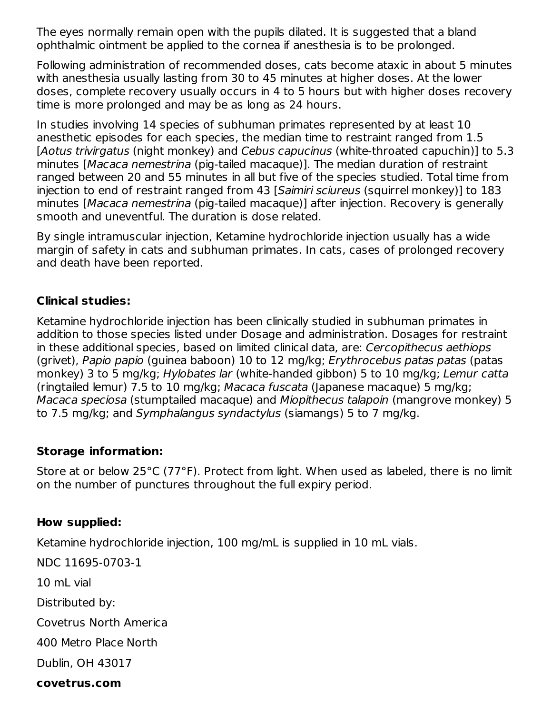The eyes normally remain open with the pupils dilated. It is suggested that a bland ophthalmic ointment be applied to the cornea if anesthesia is to be prolonged.

Following administration of recommended doses, cats become ataxic in about 5 minutes with anesthesia usually lasting from 30 to 45 minutes at higher doses. At the lower doses, complete recovery usually occurs in 4 to 5 hours but with higher doses recovery time is more prolonged and may be as long as 24 hours.

In studies involving 14 species of subhuman primates represented by at least 10 anesthetic episodes for each species, the median time to restraint ranged from 1.5 [Aotus trivirgatus (night monkey) and Cebus capucinus (white-throated capuchin)] to 5.3 minutes [Macaca nemestrina (pig-tailed macaque)]. The median duration of restraint ranged between 20 and 55 minutes in all but five of the species studied. Total time from injection to end of restraint ranged from 43 [Saimiri sciureus (squirrel monkey)] to 183 minutes [Macaca nemestrina (pig-tailed macaque)] after injection. Recovery is generally smooth and uneventful. The duration is dose related.

By single intramuscular injection, Ketamine hydrochloride injection usually has a wide margin of safety in cats and subhuman primates. In cats, cases of prolonged recovery and death have been reported.

# **Clinical studies:**

Ketamine hydrochloride injection has been clinically studied in subhuman primates in addition to those species listed under Dosage and administration. Dosages for restraint in these additional species, based on limited clinical data, are: Cercopithecus aethiops (grivet), Papio papio (guinea baboon) 10 to 12 mg/kg; Erythrocebus patas patas (patas monkey) 3 to 5 mg/kg; Hylobates lar (white-handed gibbon) 5 to 10 mg/kg; Lemur catta (ringtailed lemur) 7.5 to 10 mg/kg; Macaca fuscata (Japanese macaque) 5 mg/kg; Macaca speciosa (stumptailed macaque) and Miopithecus talapoin (mangrove monkey) 5 to 7.5 mg/kg; and Symphalangus syndactylus (siamangs) 5 to 7 mg/kg.

## **Storage information:**

Store at or below 25°C (77°F). Protect from light. When used as labeled, there is no limit on the number of punctures throughout the full expiry period.

## **How supplied:**

Ketamine hydrochloride injection, 100 mg/mL is supplied in 10 mL vials.

NDC 11695-0703-1

10 mL vial

Distributed by:

Covetrus North America

400 Metro Place North

Dublin, OH 43017

#### **covetrus.com**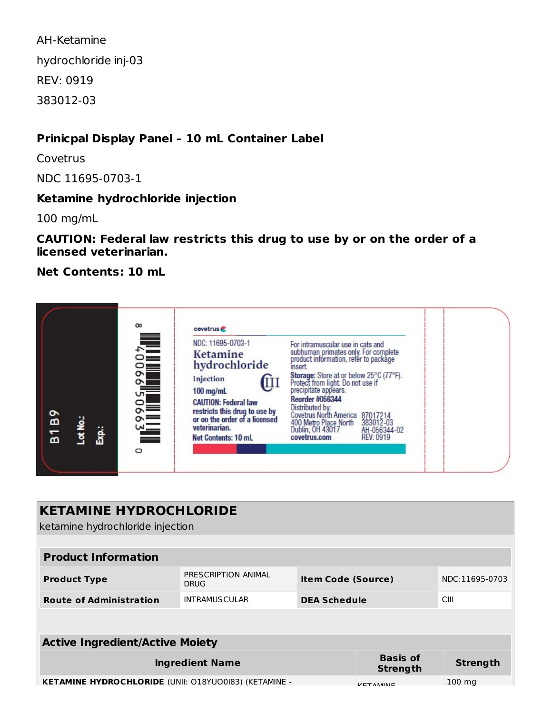AH-Ketamine hydrochloride inj-03 REV: 0919 383012-03

# **Prinicpal Display Panel – 10 mL Container Label**

**Covetrus** 

NDC 11695-0703-1

# **Ketamine hydrochloride injection**

100 mg/mL

**CAUTION: Federal law restricts this drug to use by or on the order of a licensed veterinarian.**

**Net Contents: 10 mL**

|                                                     | $\infty$ | covetrus                                                                                                                                                                                                                               |                                                                                                                                                                                                                                                                                                                                                                                                                              |  |
|-----------------------------------------------------|----------|----------------------------------------------------------------------------------------------------------------------------------------------------------------------------------------------------------------------------------------|------------------------------------------------------------------------------------------------------------------------------------------------------------------------------------------------------------------------------------------------------------------------------------------------------------------------------------------------------------------------------------------------------------------------------|--|
| $\circ$<br>Lot No.:<br>$\blacksquare$<br>Exp.:<br>ă | っ        | NDC: 11695-0703-1<br><b>Ketamine</b><br>hydrochloride<br>Injection<br>ι<br>$100$ mg/mL<br><b>CAUTION: Federal law</b><br>restricts this drug to use by<br>or on the order of a licensed<br>veterinarian.<br><b>Net Contents: 10 mL</b> | For intramuscular use in cats and<br>subhuman primates only. For complete<br>product information, refer to package<br>insert.<br>Storage: Store at or below 25°C (77°F).<br>Protect from light. Do not use if<br>precipitate appears.<br><b>Reorder #056344</b><br>Distributed by:<br>Covetrus North America 87017214<br>400 Metro Place North<br>383012-03<br>Dublin, OH 43017<br>AH-056344-02<br>REV: 0919<br>covetrus.com |  |

| <b>KETAMINE HYDROCHLORIDE</b><br>ketamine hydrochloride injection |                                    |                           |                                    |                 |  |  |  |  |  |
|-------------------------------------------------------------------|------------------------------------|---------------------------|------------------------------------|-----------------|--|--|--|--|--|
|                                                                   |                                    |                           |                                    |                 |  |  |  |  |  |
| <b>Product Information</b>                                        |                                    |                           |                                    |                 |  |  |  |  |  |
| <b>Product Type</b>                                               | PRESCRIPTION ANIMAL<br><b>DRUG</b> | <b>Item Code (Source)</b> |                                    | NDC:11695-0703  |  |  |  |  |  |
| <b>Route of Administration</b>                                    | <b>INTRAMUSCULAR</b>               | <b>DEA Schedule</b>       |                                    | CIII            |  |  |  |  |  |
|                                                                   |                                    |                           |                                    |                 |  |  |  |  |  |
| <b>Active Ingredient/Active Moiety</b>                            |                                    |                           |                                    |                 |  |  |  |  |  |
| <b>Ingredient Name</b>                                            |                                    |                           | <b>Basis of</b><br><b>Strength</b> | <b>Strength</b> |  |  |  |  |  |
| <b>KETAMINE HYDROCHLORIDE (UNII: 018YU00I83) (KETAMINE -</b>      | $VFT$ AMAINIE                      | $100 \text{ ma}$          |                                    |                 |  |  |  |  |  |